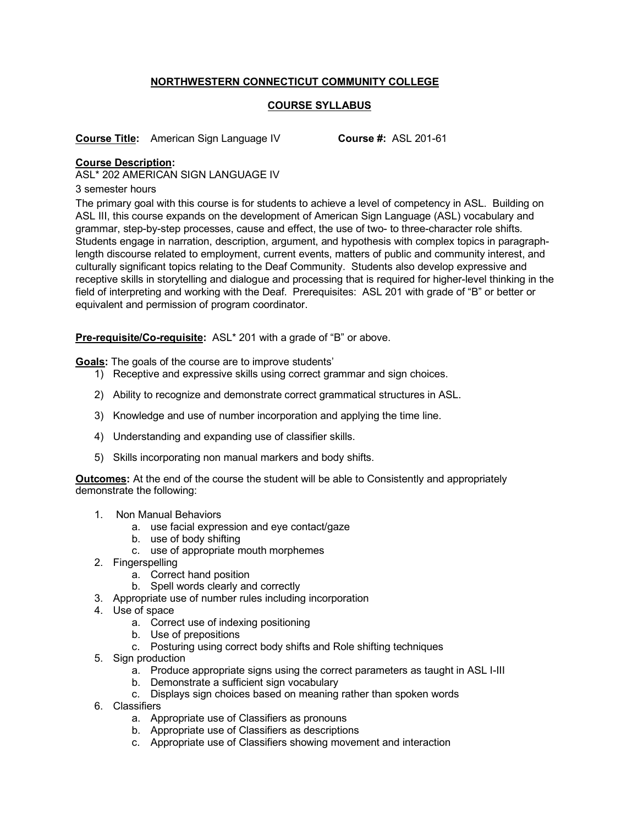## **NORTHWESTERN CONNECTICUT COMMUNITY COLLEGE**

## **COURSE SYLLABUS**

**Course Title:** American Sign Language IV **Course #:** ASL 201-61

## **Course Description:**

ASL\* 202 AMERICAN SIGN LANGUAGE IV

3 semester hours

The primary goal with this course is for students to achieve a level of competency in ASL. Building on ASL III, this course expands on the development of American Sign Language (ASL) vocabulary and grammar, step-by-step processes, cause and effect, the use of two- to three-character role shifts. Students engage in narration, description, argument, and hypothesis with complex topics in paragraphlength discourse related to employment, current events, matters of public and community interest, and culturally significant topics relating to the Deaf Community. Students also develop expressive and receptive skills in storytelling and dialogue and processing that is required for higher-level thinking in the field of interpreting and working with the Deaf. Prerequisites: ASL 201 with grade of "B" or better or equivalent and permission of program coordinator.

**Pre-requisite/Co-requisite:** ASL\* 201 with a grade of "B" or above.

**Goals:** The goals of the course are to improve students'

- 1) Receptive and expressive skills using correct grammar and sign choices.
- 2) Ability to recognize and demonstrate correct grammatical structures in ASL.
- 3) Knowledge and use of number incorporation and applying the time line.
- 4) Understanding and expanding use of classifier skills.
- 5) Skills incorporating non manual markers and body shifts.

**Outcomes:** At the end of the course the student will be able to Consistently and appropriately demonstrate the following:

- 1. Non Manual Behaviors
	- a. use facial expression and eye contact/gaze
	- b. use of body shifting
	- c. use of appropriate mouth morphemes
- 2. Fingerspelling
	- a. Correct hand position
	- b. Spell words clearly and correctly
- 3. Appropriate use of number rules including incorporation
- 4. Use of space
	- a. Correct use of indexing positioning
	- b. Use of prepositions
	- c. Posturing using correct body shifts and Role shifting techniques
- 5. Sign production
	- a. Produce appropriate signs using the correct parameters as taught in ASL I-III
	- b. Demonstrate a sufficient sign vocabulary
	- c. Displays sign choices based on meaning rather than spoken words
- 6. Classifiers
	- a. Appropriate use of Classifiers as pronouns
	- b. Appropriate use of Classifiers as descriptions
	- c. Appropriate use of Classifiers showing movement and interaction